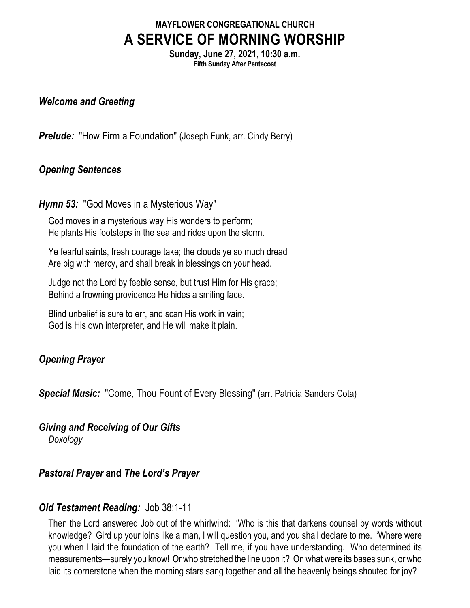# **MAYFLOWER CONGREGATIONAL CHURCH A SERVICE OF MORNING WORSHIP**

**Sunday, June 27, 2021, 10:30 a.m. Fifth Sunday After Pentecost**

#### *Welcome and Greeting*

**Prelude:** "How Firm a Foundation" (Joseph Funk, arr. Cindy Berry)

### *Opening Sentences*

#### *Hymn 53:* "God Moves in a Mysterious Way"

God moves in a mysterious way His wonders to perform; He plants His footsteps in the sea and rides upon the storm.

Ye fearful saints, fresh courage take; the clouds ye so much dread Are big with mercy, and shall break in blessings on your head.

Judge not the Lord by feeble sense, but trust Him for His grace; Behind a frowning providence He hides a smiling face.

Blind unbelief is sure to err, and scan His work in vain; God is His own interpreter, and He will make it plain.

### *Opening Prayer*

*Special Music:* "Come, Thou Fount of Every Blessing" (arr. Patricia Sanders Cota)

*Giving and Receiving of Our Gifts Doxology*

# *Pastoral Prayer* **and** *The Lord's Prayer*

# *Old Testament Reading:* Job 38:1-11

Then the Lord answered Job out of the whirlwind: 'Who is this that darkens counsel by words without knowledge? Gird up your loins like a man, I will question you, and you shall declare to me. 'Where were you when I laid the foundation of the earth? Tell me, if you have understanding. Who determined its measurements—surely you know! Or who stretched the line upon it? On what were its bases sunk, or who laid its cornerstone when the morning stars sang together and all the heavenly beings shouted for joy?